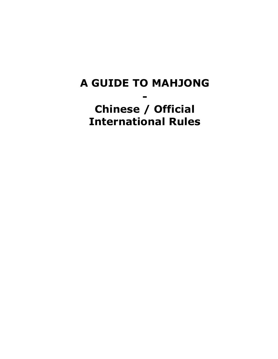# A GUIDE TO MAHJONG - Chinese / Official International Rules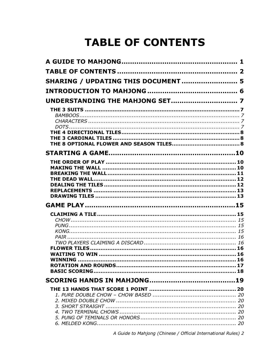# **TABLE OF CONTENTS**

| SHARING / UPDATING THIS DOCUMENT  5 |  |
|-------------------------------------|--|
|                                     |  |
|                                     |  |
|                                     |  |
|                                     |  |
|                                     |  |
|                                     |  |
|                                     |  |
|                                     |  |
|                                     |  |
|                                     |  |
|                                     |  |
|                                     |  |
|                                     |  |
|                                     |  |
|                                     |  |
|                                     |  |
|                                     |  |
|                                     |  |
|                                     |  |
| <b>WINNING</b>                      |  |
|                                     |  |
|                                     |  |
|                                     |  |
|                                     |  |
|                                     |  |
|                                     |  |
|                                     |  |
|                                     |  |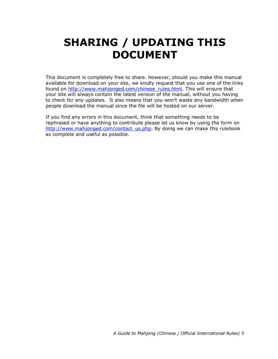# SHARING / UPDATING THIS DOCUMENT

This document is completely free to share. However, should you make this manual available for download on your site, we kindly request that you use one of the links found on http://www.mahjonged.com/chinese\_rules.html. This will ensure that your site will always contain the latest version of the manual, without you having to check for any updates. It also means that you won't waste any bandwidth when people download the manual since the file will be hosted on our server.

If you find any errors in this document, think that something needs to be rephrased or have anything to contribute please let us know by using the form on http://www.mahjonged.com/contact\_us.php. By doing we can make this rulebook as complete and useful as possible.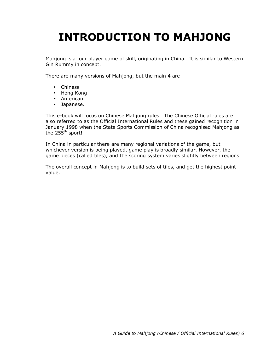# INTRODUCTION TO MAHJONG

Mahjong is a four player game of skill, originating in China. It is similar to Western Gin Rummy in concept.

There are many versions of Mahjong, but the main 4 are

- Chinese
- Hong Kong
- American
- Japanese.

This e-book will focus on Chinese Mahjong rules. The Chinese Official rules are also referred to as the Official International Rules and these gained recognition in January 1998 when the State Sports Commission of China recognised Mahjong as the  $255<sup>th</sup>$  sport!

In China in particular there are many regional variations of the game, but whichever version is being played, game play is broadly similar. However, the game pieces (called tiles), and the scoring system varies slightly between regions.

The overall concept in Mahjong is to build sets of tiles, and get the highest point value.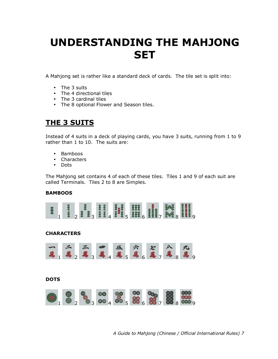# UNDERSTANDING THE MAHJONG **SET**

A Mahjong set is rather like a standard deck of cards. The tile set is split into:

- The 3 suits
- The 4 directional tiles
- The 3 cardinal tiles
- The 8 optional Flower and Season tiles.

# THE 3 SUITS

Instead of 4 suits in a deck of playing cards, you have 3 suits, running from 1 to 9 rather than 1 to 10. The suits are:

- Bamboos
- Characters
- Dots

The Mahjong set contains 4 of each of these tiles. Tiles 1 and 9 of each suit are called Terminals. Tiles 2 to 8 are Simples.

# **BAMBOOS**



# CHARACTERS



# **DOTS**

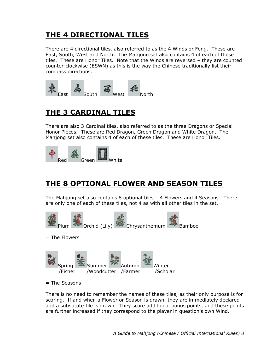# THE 4 DIRECTIONAL TILES

There are 4 directional tiles, also referred to as the 4 Winds or Feng. These are East, South, West and North. The Mahjong set also contains 4 of each of these tiles. These are Honor Tiles. Note that the Winds are reversed – they are counted counter-clockwise (ESWN) as this is the way the Chinese traditionally list their compass directions.



# THE 3 CARDINAL TILES

There are also 3 Cardinal tiles, also referred to as the three Dragons or Special Honor Pieces. These are Red Dragon, Green Dragon and White Dragon. The Mahjong set also contains 4 of each of these tiles. These are Honor Tiles.



# THE 8 OPTIONAL FLOWER AND SEASON TILES

The Mahjong set also contains 8 optional tiles – 4 Flowers and 4 Seasons. There are only one of each of these tiles, not 4 as with all other tiles in the set.



= The Flowers



 $=$  The Seasons

There is no need to remember the names of these tiles, as their only purpose is for scoring. If and when a Flower or Season is drawn, they are immediately declared and a substitute tile is drawn. They score additional bonus points, and these points are further increased if they correspond to the player in question's own Wind.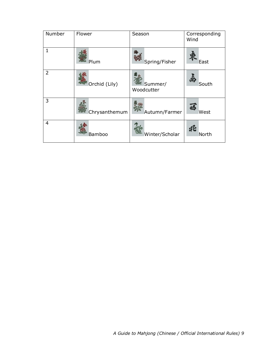| Number         | Flower        | Season                | Corresponding<br>Wind |
|----------------|---------------|-----------------------|-----------------------|
|                | Plum          | Spring/Fisher         | East                  |
| $\overline{2}$ | Orchid (Lily) | Summer/<br>Woodcutter | South                 |
| 3              | Chrysanthemum | Autumn/Farmer         | West                  |
| 4              | Bamboo        | Winter/Scholar        | North                 |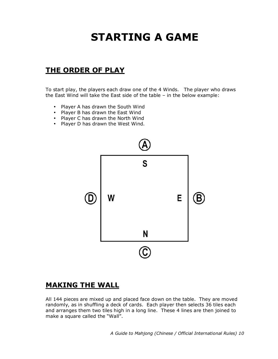# STARTING A GAME

# THE ORDER OF PLAY

To start play, the players each draw one of the 4 Winds. The player who draws the East Wind will take the East side of the table – in the below example:

- Player A has drawn the South Wind
- Player B has drawn the East Wind
- Player C has drawn the North Wind
- Player D has drawn the West Wind.



# MAKING THE WALL

All 144 pieces are mixed up and placed face down on the table. They are moved randomly, as in shuffling a deck of cards. Each player then selects 36 tiles each and arranges them two tiles high in a long line. These 4 lines are then joined to make a square called the "Wall".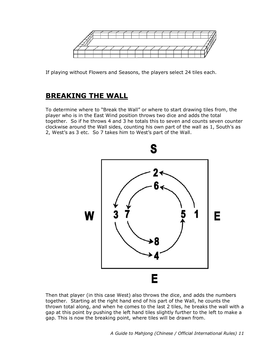

If playing without Flowers and Seasons, the players select 24 tiles each.

# BREAKING THE WALL

To determine where to "Break the Wall" or where to start drawing tiles from, the player who is in the East Wind position throws two dice and adds the total together. So if he throws 4 and 3 he totals this to seven and counts seven counter clockwise around the Wall sides, counting his own part of the wall as 1, South's as 2, West's as 3 etc. So 7 takes him to West's part of the Wall.



Then that player (in this case West) also throws the dice, and adds the numbers together. Starting at the right hand end of his part of the Wall, he counts the thrown total along, and when he comes to the last 2 tiles, he breaks the wall with a gap at this point by pushing the left hand tiles slightly further to the left to make a gap. This is now the breaking point, where tiles will be drawn from.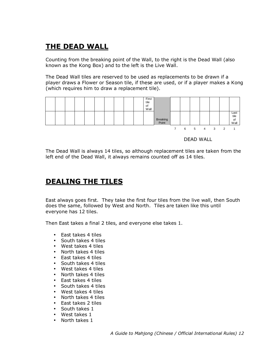# THE DEAD WALL

Counting from the breaking point of the Wall, to the right is the Dead Wall (also known as the Kong Box) and to the left is the Live Wall.

The Dead Wall tiles are reserved to be used as replacements to be drawn if a player draws a Flower or Season tile, if these are used, or if a player makes a Kong (which requires him to draw a replacement tile).



DEAD WALL

The Dead Wall is always 14 tiles, so although replacement tiles are taken from the left end of the Dead Wall, it always remains counted off as 14 tiles.

# DEALING THE TILES

East always goes first. They take the first four tiles from the live wall, then South does the same, followed by West and North. Tiles are taken like this until everyone has 12 tiles.

Then East takes a final 2 tiles, and everyone else takes 1.

- East takes 4 tiles
- South takes 4 tiles
- West takes 4 tiles
- North takes 4 tiles
- East takes 4 tiles
- South takes 4 tiles
- West takes 4 tiles
- North takes 4 tiles
- East takes 4 tiles
- South takes 4 tiles
- West takes 4 tiles
- North takes 4 tiles
- East takes 2 tiles
- South takes 1
- West takes 1
- North takes 1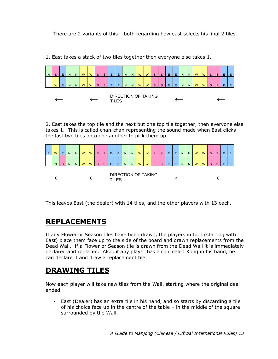There are 2 variants of this – both regarding how east selects his final 2 tiles.



1. East takes a stack of two tiles together then everyone else takes 1.

2. East takes the top tile and the next but one top tile together, then everyone else takes 1. This is called chan-chan representing the sound made when East clicks the last two tiles onto one another to pick them up!



This leaves East (the dealer) with 14 tiles, and the other players with 13 each.

# REPLACEMENTS

If any Flower or Season tiles have been drawn, the players in turn (starting with East) place them face up to the side of the board and drawn replacements from the Dead Wall. If a Flower or Season tile is drawn from the Dead Wall it is immediately declared and replaced. Also, if any player has a concealed Kong in his hand, he can declare it and draw a replacement tile.

# DRAWING TILES

Now each player will take new tiles from the Wall, starting where the original deal ended.

• East (Dealer) has an extra tile in his hand, and so starts by discarding a tile of his choice face up in the centre of the table – in the middle of the square surrounded by the Wall.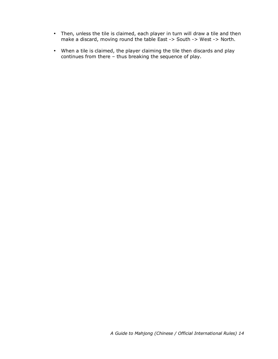- Then, unless the tile is claimed, each player in turn will draw a tile and then make a discard, moving round the table East -> South -> West -> North.
- When a tile is claimed, the player claiming the tile then discards and play continues from there – thus breaking the sequence of play.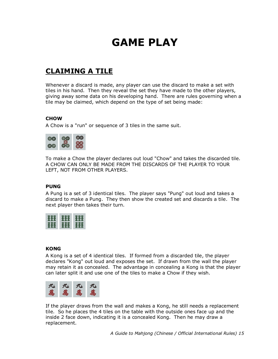# GAME PLAY

# CLAIMING A TILE

Whenever a discard is made, any player can use the discard to make a set with tiles in his hand. Then they reveal the set they have made to the other players, giving away some data on his developing hand. There are rules governing when a tile may be claimed, which depend on the type of set being made:

## **CHOW**

A Chow is a "run" or sequence of 3 tiles in the same suit.



To make a Chow the player declares out loud "Chow" and takes the discarded tile. A CHOW CAN ONLY BE MADE FROM THE DISCARDS OF THE PLAYER TO YOUR LEFT, NOT FROM OTHER PLAYERS.

#### PUNG

A Pung is a set of 3 identical tiles. The player says "Pung" out loud and takes a discard to make a Pung. They then show the created set and discards a tile. The next player then takes their turn.



#### KONG

A Kong is a set of 4 identical tiles. If formed from a discarded tile, the player declares "Kong" out loud and exposes the set. If drawn from the wall the player may retain it as concealed. The advantage in concealing a Kong is that the player can later split it and use one of the tiles to make a Chow if they wish.



If the player draws from the wall and makes a Kong, he still needs a replacement tile. So he places the 4 tiles on the table with the outside ones face up and the inside 2 face down, indicating it is a concealed Kong. Then he may draw a replacement.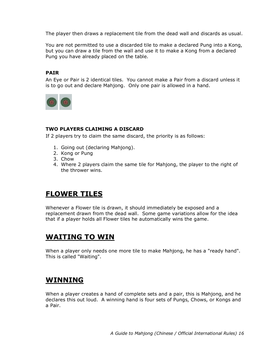The player then draws a replacement tile from the dead wall and discards as usual.

You are not permitted to use a discarded tile to make a declared Pung into a Kong, but you can draw a tile from the wall and use it to make a Kong from a declared Pung you have already placed on the table.

# PAIR

An Eye or Pair is 2 identical tiles. You cannot make a Pair from a discard unless it is to go out and declare Mahjong. Only one pair is allowed in a hand.



## TWO PLAYERS CLAIMING A DISCARD

If 2 players try to claim the same discard, the priority is as follows:

- 1. Going out (declaring Mahjong).
- 2. Kong or Pung
- 3. Chow
- 4. Where 2 players claim the same tile for Mahjong, the player to the right of the thrower wins.

# FLOWER TILES

Whenever a Flower tile is drawn, it should immediately be exposed and a replacement drawn from the dead wall. Some game variations allow for the idea that if a player holds all Flower tiles he automatically wins the game.

# WAITING TO WIN

When a player only needs one more tile to make Mahjong, he has a "ready hand". This is called "Waiting".

# WINNING

When a player creates a hand of complete sets and a pair, this is Mahjong, and he declares this out loud. A winning hand is four sets of Pungs, Chows, or Kongs and a Pair.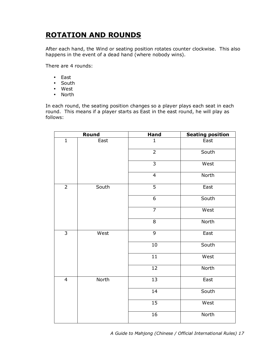# ROTATION AND ROUNDS

After each hand, the Wind or seating position rotates counter clockwise. This also happens in the event of a dead hand (where nobody wins).

There are 4 rounds:

- East
- South
- West
- North

In each round, the seating position changes so a player plays each seat in each round. This means if a player starts as East in the east round, he will play as follows:

|                | Round | <b>Hand</b>     | <b>Seating position</b> |
|----------------|-------|-----------------|-------------------------|
| $\mathbf 1$    | East  | $\mathbf{1}$    | East                    |
|                |       | $\overline{2}$  | South                   |
|                |       | $\overline{3}$  | West                    |
|                |       | $\overline{4}$  | North                   |
| $\overline{2}$ | South | $\overline{5}$  | East                    |
|                |       | $\overline{6}$  | South                   |
|                |       | $\overline{7}$  | West                    |
|                |       | 8               | North                   |
| $\overline{3}$ | West  | $\overline{9}$  | East                    |
|                |       | $10\,$          | South                   |
|                |       | $\overline{11}$ | West                    |
|                |       | 12              | North                   |
| $\overline{4}$ | North | $\overline{13}$ | East                    |
|                |       | $\overline{14}$ | South                   |
|                |       | $\overline{15}$ | West                    |
|                |       | 16              | North                   |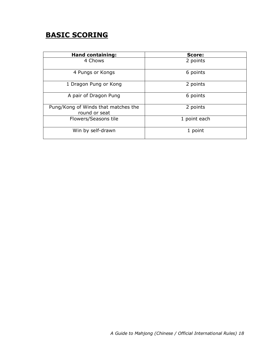# BASIC SCORING

| <b>Hand containing:</b>                              | Score:       |
|------------------------------------------------------|--------------|
| 4 Chows                                              | 2 points     |
| 4 Pungs or Kongs                                     | 6 points     |
| 1 Dragon Pung or Kong                                | 2 points     |
| A pair of Dragon Pung                                | 6 points     |
| Pung/Kong of Winds that matches the<br>round or seat | 2 points     |
| Flowers/Seasons tile                                 | 1 point each |
| Win by self-drawn                                    | 1 point      |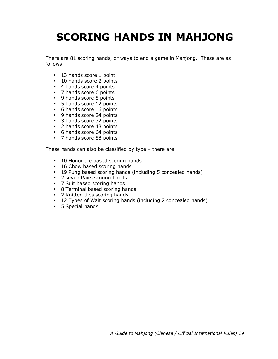# SCORING HANDS IN MAHJONG

There are 81 scoring hands, or ways to end a game in Mahjong. These are as follows:

- 13 hands score 1 point
- 10 hands score 2 points
- 4 hands score 4 points
- 7 hands score 6 points
- 9 hands score 8 points
- 5 hands score 12 points
- 6 hands score 16 points
- 9 hands score 24 points
- 3 hands score 32 points
- 2 hands score 48 points
- 6 hands score 64 points
- 7 hands score 88 points

These hands can also be classified by type – there are:

- 10 Honor tile based scoring hands
- 16 Chow based scoring hands
- 19 Pung based scoring hands (including 5 concealed hands)
- 2 seven Pairs scoring hands
- 7 Suit based scoring hands
- 8 Terminal based scoring hands
- 2 Knitted tiles scoring hands
- 12 Types of Wait scoring hands (including 2 concealed hands)
- 5 Special hands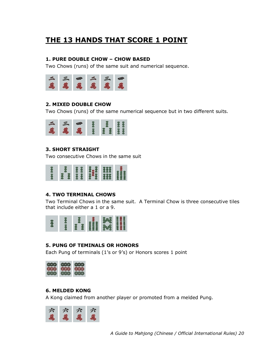# THE 13 HANDS THAT SCORE 1 POINT

# 1. PURE DOUBLE CHOW – CHOW BASED

Two Chows (runs) of the same suit and numerical sequence.



# 2. MIXED DOUBLE CHOW

Two Chows (runs) of the same numerical sequence but in two different suits.



# 3. SHORT STRAIGHT

Two consecutive Chows in the same suit



# 4. TWO TERMINAL CHOWS

Two Terminal Chows in the same suit. A Terminal Chow is three consecutive tiles that include either a 1 or a 9.



# 5. PUNG OF TEMINALS OR HONORS

Each Pung of terminals (1's or 9's) or Honors scores 1 point



# 6. MELDED KONG

A Kong claimed from another player or promoted from a melded Pung.

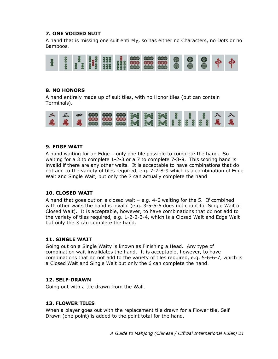# 7. ONE VOIDED SUIT

A hand that is missing one suit entirely, so has either no Characters, no Dots or no Bamboos.



# 8. NO HONORS

A hand entirely made up of suit tiles, with no Honor tiles (but can contain Terminals).



# 9. EDGE WAIT

A hand waiting for an Edge – only one tile possible to complete the hand. So waiting for a 3 to complete 1-2-3 or a 7 to complete 7-8-9. This scoring hand is invalid if there are any other waits. It is acceptable to have combinations that do not add to the variety of tiles required, e.g. 7-7-8-9 which is a combination of Edge Wait and Single Wait, but only the 7 can actually complete the hand

# 10. CLOSED WAIT

A hand that goes out on a closed wait – e.g. 4-6 waiting for the 5. If combined with other waits the hand is invalid (e.g. 3-5-5-5 does not count for Single Wait or Closed Wait). It is acceptable, however, to have combinations that do not add to the variety of tiles required, e.g. 1-2-2-3-4, which is a Closed Wait and Edge Wait but only the 3 can complete the hand.

# 11. SINGLE WAIT

Going out on a Single Waity is known as Finishing a Head. Any type of combination wait invalidates the hand. It is acceptable, however, to have combinations that do not add to the variety of tiles required, e.g. 5-6-6-7, which is a Closed Wait and Single Wait but only the 6 can complete the hand.

# 12. SELF-DRAWN

Going out with a tile drawn from the Wall.

# 13. FLOWER TILES

When a player goes out with the replacement tile drawn for a Flower tile, Self Drawn (one point) is added to the point total for the hand.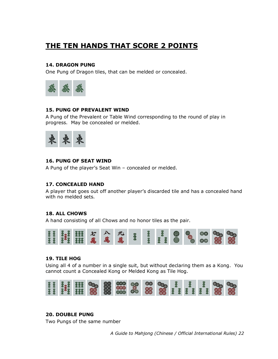# THE TEN HANDS THAT SCORE 2 POINTS

## 14. DRAGON PUNG

One Pung of Dragon tiles, that can be melded or concealed.



## 15. PUNG OF PREVALENT WIND

A Pung of the Prevalent or Table Wind corresponding to the round of play in progress. May be concealed or melded.



## 16. PUNG OF SEAT WIND

A Pung of the player's Seat Win – concealed or melded.

#### 17. CONCEALED HAND

A player that goes out off another player's discarded tile and has a concealed hand with no melded sets.

#### 18. ALL CHOWS

A hand consisting of all Chows and no honor tiles as the pair.



#### 19. TILE HOG

Using all 4 of a number in a single suit, but without declaring them as a Kong. You cannot count a Concealed Kong or Melded Kong as Tile Hog.



# 20. DOUBLE PUNG

Two Pungs of the same number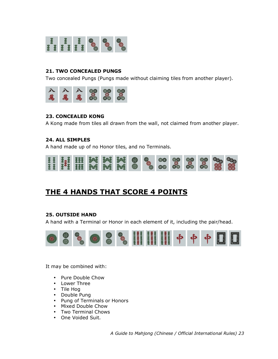

## 21. TWO CONCEALED PUNGS

Two concealed Pungs (Pungs made without claiming tiles from another player).



#### 23. CONCEALED KONG

A Kong made from tiles all drawn from the wall, not claimed from another player.

#### 24. ALL SIMPLES

A hand made up of no Honor tiles, and no Terminals.



# THE 4 HANDS THAT SCORE 4 POINTS

#### 25. OUTSIDE HAND

A hand with a Terminal or Honor in each element of it, including the pair/head.



It may be combined with:

- Pure Double Chow
- Lower Three
- Tile Hog
- Double Pung
- Pung of Terminals or Honors
- Mixed Double Chow
- Two Terminal Chows
- One Voided Suit.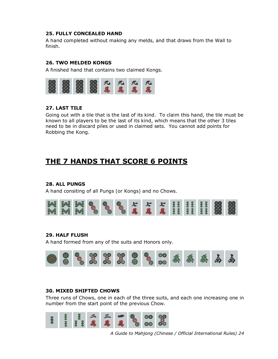## 25. FULLY CONCEALED HAND

A hand completed without making any melds, and that draws from the Wall to finish.

# 26. TWO MELDED KONGS

A finished hand that contains two claimed Kongs.



# 27. LAST TILE

Going out with a tile that is the last of its kind. To claim this hand, the tile must be known to all players to be the last of its kind, which means that the other 3 tiles need to be in discard piles or used in claimed sets. You cannot add points for Robbing the Kong.

# THE 7 HANDS THAT SCORE 6 POINTS

# 28. ALL PUNGS

A hand consiting of all Pungs (or Kongs) and no Chows.



# 29. HALF FLUSH

A hand formed from any of the suits and Honors only.



# 30. MIXED SHIFTED CHOWS

Three runs of Chows, one in each of the three suits, and each one increasing one in number from the start point of the previous Chow.

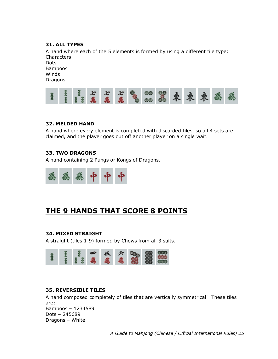# 31. ALL TYPES

A hand where each of the 5 elements is formed by using a different tile type: **Characters** Dots

Bamboos Winds Dragons



# 32. MELDED HAND

A hand where every element is completed with discarded tiles, so all 4 sets are claimed, and the player goes out off another player on a single wait.

# 33. TWO DRAGONS

A hand containing 2 Pungs or Kongs of Dragons.



# THE 9 HANDS THAT SCORE 8 POINTS

# 34. MIXED STRAIGHT

A straight (tiles 1-9) formed by Chows from all 3 suits.



# 35. REVERSIBLE TILES

A hand composed completely of tiles that are vertically symmetrical! These tiles are: Bamboos – 1234589 Dots – 245689 Dragons – White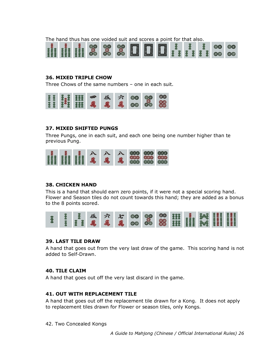The hand thus has one voided suit and scores a point for that also.



## 36. MIXED TRIPLE CHOW

Three Chows of the same numbers – one in each suit.



#### 37. MIXED SHIFTED PUNGS

Three Pungs, one in each suit, and each one being one number higher than te previous Pung.



# 38. CHICKEN HAND

This is a hand that should earn zero points, if it were not a special scoring hand. Flower and Season tiles do not count towards this hand; they are added as a bonus to the 8 points scored.



#### 39. LAST TILE DRAW

A hand that goes out from the very last draw of the game. This scoring hand is not added to Self-Drawn.

#### 40. TILE CLAIM

A hand that goes out off the very last discard in the game.

# 41. OUT WITH REPLACEMENT TILE

A hand that goes out off the replacement tile drawn for a Kong. It does not apply to replacement tiles drawn for Flower or season tiles, only Kongs.

42. Two Concealed Kongs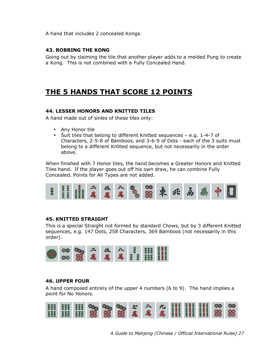A hand that includes 2 concealed Kongs.

## 43. ROBBING THE KONG

Going out by claiming the tile that another player adds to a melded Pung to create a Kong. This is not combined with a Fully Concealed Hand.

# THE 5 HANDS THAT SCORE 12 POINTS

## 44. LESSER HONORS AND KNITTED TILES

A hand made out of sinles of these tiles only:

- Any Honor tile
- Suit tiles that belong to different Knitted sequences e.g. 1-4-7 of Characters, 2-5-8 of Bamboos, and 3-6-9 of Dots - each of the 3 suits must belong to a different Knitted sequence, but not necessarily in the order above.

When finished with 7 Honor tiles, the hand becomes a Greater Honors and Knitted Tiles hand. If the player goes out off his own draw, he can combine Fully Concealed. Points for All Types are not added.



#### 45. KNITTED STRAIGHT

This is a special Straight not formed by standard Chows, but by 3 different Knitted sequences, e.g. 147 Dots, 258 Characters, 369 Bamboos (not necessarily in this order).



## 46. UPPER FOUR

A hand composed entirely of the upper 4 numbers (6 to 9). The hand implies a point for No Honors.

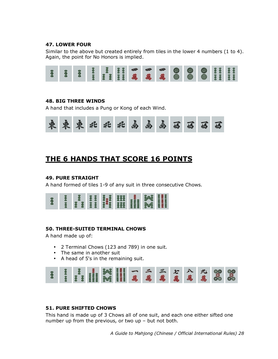# 47. LOWER FOUR

Similar to the above but created entirely from tiles in the lower 4 numbers (1 to 4). Again, the point for No Honors is implied.



## 48. BIG THREE WINDS

A hand that includes a Pung or Kong of each Wind.



# THE 6 HANDS THAT SCORE 16 POINTS

# 49. PURE STRAIGHT

A hand formed of tiles 1-9 of any suit in three consecutive Chows.

| ł |  |  |  | I HI I,I HI I,I I I I I |  |
|---|--|--|--|-------------------------|--|
|   |  |  |  |                         |  |

# 50. THREE-SUITED TERMINAL CHOWS

A hand made up of:

- 2 Terminal Chows (123 and 789) in one suit.
- The same in another suit
- A head of 5's in the remaining suit.



# 51. PURE SHIFTED CHOWS

This hand is made up of 3 Chows all of one suit, and each one either sifted one number up from the previous, or two up – but not both.

 $\overline{a}$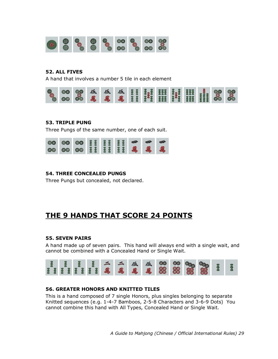

## 52. ALL FIVES

A hand that involves a number 5 tile in each element



## 53. TRIPLE PUNG

Three Pungs of the same number, one of each suit.



## 54. THREE CONCEALED PUNGS

Three Pungs but concealed, not declared.

# THE 9 HANDS THAT SCORE 24 POINTS

#### 55. SEVEN PAIRS

A hand made up of seven pairs. This hand will always end with a single wait, and cannot be combined with a Concealed Hand or Single Wait.



# 56. GREATER HONORS AND KNITTED TILES

This is a hand composed of 7 single Honors, plus singles belonging to separate Knitted sequences (e.g. 1-4-7 Bamboos, 2-5-8 Characters and 3-6-9 Dots) You cannot combine this hand with All Types, Concealed Hand or Single Wait.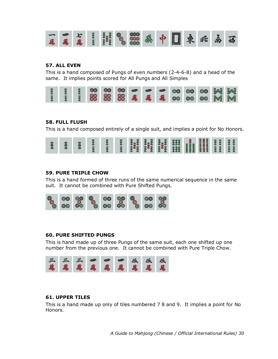

# 57. ALL EVEN

This is a hand composed of Pungs of even numbers (2-4-6-8) and a head of the same. It implies points scored for All Pungs and All Simples



# 58. FULL FLUSH

This is a hand composed entirely of a single suit, and implies a point for No Honors.



# 59. PURE TRIPLE CHOW

This is a hand formed of three runs of the same numerical sequence in the same suit. It cannot be combined with Pure Shifted Pungs.



# 60. PURE SHIFTED PUNGS

This is hand made up of three Pungs of the same suit, each one shifted up one number from the previous one. It cannot be combined with Pure Triple Chow.



# 61. UPPER TILES

This is a hand made up only of tiles numbered 7 8 and 9. It implies a point for No Honors.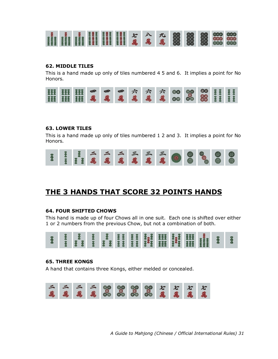

# 62. MIDDLE TILES

This is a hand made up only of tiles numbered 4 5 and 6. It implies a point for No Honors.



## 63. LOWER TILES

This is a hand made up only of tiles numbered 1 2 and 3. It implies a point for No Honors.



# THE 3 HANDS THAT SCORE 32 POINTS HANDS

#### 64. FOUR SHIFTED CHOWS

This hand is made up of four Chows all in one suit. Each one is shifted over either 1 or 2 numbers from the previous Chow, but not a combination of both.



#### 65. THREE KONGS

A hand that contains three Kongs, either melded or concealed.

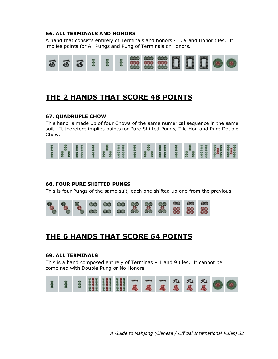## 66. ALL TERMINALS AND HONORS

A hand that consists entirely of Terminals and honors - 1, 9 and Honor tiles. It implies points for All Pungs and Pung of Terminals or Honors.



# THE 2 HANDS THAT SCORE 48 POINTS

# 67. QUADRUPLE CHOW

This hand is made up of four Chows of the same numerical sequence in the same suit. It therefore implies points for Pure Shifted Pungs, Tile Hog and Pure Double Chow.



# 68. FOUR PURE SHIFTED PUNGS

This is four Pungs of the same suit, each one shifted up one from the previous.



# THE 6 HANDS THAT SCORE 64 POINTS

## 69. ALL TERMINALS

This is a hand composed entirely of Terminas – 1 and 9 tiles. It cannot be combined with Double Pung or No Honors.

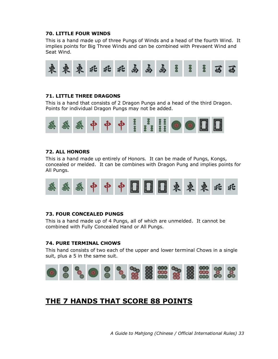## 70. LITTLE FOUR WINDS

This is a hand made up of three Pungs of Winds and a head of the fourth Wind. It implies points for Big Three Winds and can be combined with Prevaent Wind and Seat Wind.



# 71. LITTLE THREE DRAGONS

This is a hand that consists of 2 Dragon Pungs and a head of the third Dragon. Points for individual Dragon Pungs may not be added.



## 72. ALL HONORS

This is a hand made up entirely of Honors. It can be made of Pungs, Kongs, concealed or melded. It can be combines with Dragon Pung and implies points for All Pungs.



#### 73. FOUR CONCEALED PUNGS

This is a hand made up of 4 Pungs, all of which are unmelded. It cannot be combined with Fully Concealed Hand or All Pungs.

### 74. PURE TERMINAL CHOWS

This hand consists of two each of the upper and lower terminal Chows in a single suit, plus a 5 in the same suit.



# THE 7 HANDS THAT SCORE 88 POINTS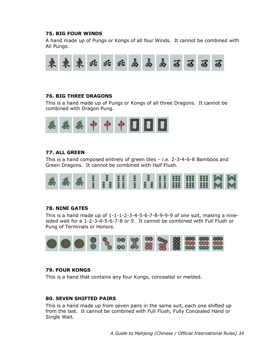#### 75. BIG FOUR WINDS

A hand made up of Pungs or Kongs of all four Winds. It cannot be combined with All Pungs.



# 76. BIG THREE DRAGONS

This is a hand made up of Pungs or Kongs of all three Dragons. It cannot be combined with Dragon Pung.



## 77. ALL GREEN

This is a hand composed entirely of green tiles – i.e. 2-3-4-6-8 Bamboos and Green Dragons. It cannot be combined with Half Flush.



# 78. NINE GATES

This is a hand made up of  $1-1-1-2-3-4-5-6-7-8-9-9-9$  of one suit, making a ninesided wait for a 1-2-3-4-5-6-7-8 or 9. It cannot be combined with Full Flush or Pung of Terminals or Honors.



## 79. FOUR KONGS

This is a hand that contains any four Kongs, concealed or melded.

#### 80. SEVEN SHIFTED PAIRS

This is a hand made up from seven pairs in the same suit, each one shifted up from the last. It cannot be combined with Full Flush, Fully Concealed Hand or Single Wait.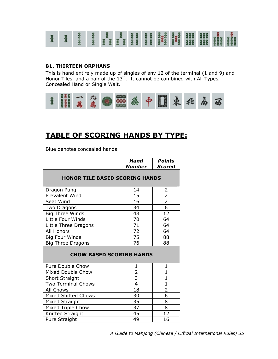

#### 81. THIRTEEN ORPHANS

This is hand entirely made up of singles of any 12 of the terminal (1 and 9) and Honor Tiles, and a pair of the  $13<sup>th</sup>$ . It cannot be combined with All Types, Concealed Hand or Single Wait.



# TABLE OF SCORING HANDS BY TYPE:

Blue denotes concealed hands

|                                       | Hand<br>Number  | <b>Points</b><br><b>Scored</b> |  |  |  |  |
|---------------------------------------|-----------------|--------------------------------|--|--|--|--|
| <b>HONOR TILE BASED SCORING HANDS</b> |                 |                                |  |  |  |  |
| Dragon Pung                           | 14              | 2                              |  |  |  |  |
| Prevalent Wind                        | 15              | $\overline{2}$                 |  |  |  |  |
| Seat Wind                             | 16              | $\frac{2}{6}$                  |  |  |  |  |
| Two Dragons                           | 34              |                                |  |  |  |  |
| <b>Big Three Winds</b>                | 48              | $\overline{12}$                |  |  |  |  |
| Little Four Winds                     | 70              | 64                             |  |  |  |  |
| Little Three Dragons                  | 71              | 64                             |  |  |  |  |
| All Honors                            | 72              | 64                             |  |  |  |  |
| <b>Big Four Winds</b>                 | $\overline{75}$ | 88                             |  |  |  |  |
| <b>Big Three Dragons</b>              | 76              | 88                             |  |  |  |  |
| <b>CHOW BASED SCORING HANDS</b>       |                 |                                |  |  |  |  |
| Pure Double Chow                      | 1               | $\mathbf{1}$                   |  |  |  |  |
| Mixed Double Chow                     | $\frac{2}{3}$   | $\mathbf{1}$                   |  |  |  |  |
| Short Straight                        |                 | $\mathbf{1}$                   |  |  |  |  |
| <b>Two Terminal Chows</b>             | 4               | $\mathbf{1}$                   |  |  |  |  |
| All Chows                             | 18              | $\frac{2}{6}$                  |  |  |  |  |
| <b>Mixed Shifted Chows</b>            | 30              |                                |  |  |  |  |
| Mixed Straight                        | 35              | $\overline{8}$                 |  |  |  |  |
| Mixed Triple Chow                     | 37              | $\overline{8}$                 |  |  |  |  |
| Knitted Straight                      | 45              | 12                             |  |  |  |  |
| Pure Straight                         | 49              | 16                             |  |  |  |  |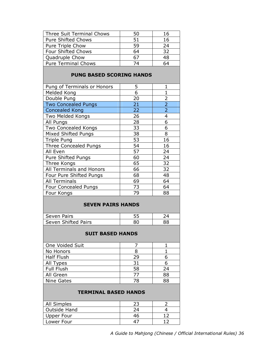| Three Suit Terminal Chows  | 50 | 16 |
|----------------------------|----|----|
| <b>Pure Shifted Chows</b>  | 51 | 16 |
| Pure Triple Chow           | 59 | 24 |
| <b>Four Shifted Chows</b>  | 64 | 32 |
| Quadruple Chow             | 67 | 48 |
| <b>Pure Terminal Chows</b> | 74 |    |

# PUNG BASED SCORING HANDS

| 5  | 1              |
|----|----------------|
| 6  |                |
| 20 | $\overline{2}$ |
| 21 | $\overline{2}$ |
| 22 | $\overline{2}$ |
| 26 | 4              |
| 28 | 6              |
| 33 | 6              |
| 38 | 8              |
| 53 | 16             |
| 54 | 16             |
| 57 | 24             |
| 60 | 24             |
| 65 | 32             |
| 66 | 32             |
| 68 | 48             |
| 69 | 64             |
| 73 | 64             |
| 79 | 88             |
|    |                |

# SEVEN PAIRS HANDS

| Seven Pairs         |  |
|---------------------|--|
| Seven Shifted Pairs |  |

#### SUIT BASED HANDS

| One Voided Suit<br>No Honors<br><b>Half Flush</b><br>29<br>All Types<br>31<br><b>Full Flush</b><br>58<br>24 |  |  |
|-------------------------------------------------------------------------------------------------------------|--|--|
|                                                                                                             |  |  |
|                                                                                                             |  |  |
|                                                                                                             |  |  |
|                                                                                                             |  |  |
|                                                                                                             |  |  |
| All Green<br>88<br>77                                                                                       |  |  |
| RЯ<br>Nine Gates                                                                                            |  |  |

#### TERMINAL BASED HANDS

| All Simples  |    |  |
|--------------|----|--|
| Outside Hand |    |  |
| Upper Four   | 46 |  |
| Lower Four   |    |  |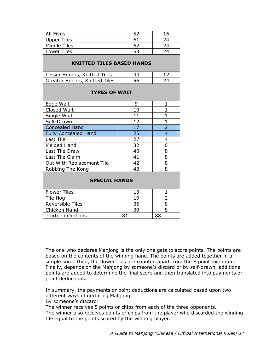| All Fives    |    | 16 |
|--------------|----|----|
| Upper Tiles  |    |    |
| Middle Tiles |    | つハ |
| Lower Tiles  | ь. |    |
|              |    |    |

# KNITTED TILES BASED HANDS

| Lesser Honors, Knitted Tiles  |    |  |
|-------------------------------|----|--|
| Greater Honors, Knitted Tiles | 56 |  |
|                               |    |  |

## TYPES OF WAIT

| Edge Wait                   | 9  |                |
|-----------------------------|----|----------------|
| Closed Wait                 | 10 |                |
| Single Wait                 | 11 |                |
| Self-Drawn                  | 12 |                |
| <b>Concealed Hand</b>       | 17 | $\overline{2}$ |
| <b>Fully Concealed Hand</b> | 25 |                |
| Last Tile                   | 27 |                |
| Melded Hand                 | 32 |                |
| Last Tile Draw              | 40 | 8              |
| Last Tile Claim             | 41 | 8              |
| Out With Replacement Tile   | 42 | 8              |
| Robbing The Kong            | 43 |                |

# SPECIAL HANDS

| <b>Flower Tiles</b>     |    |  |
|-------------------------|----|--|
| Tile Hog                |    |  |
| <b>Reversible Tiles</b> | 36 |  |
| Chicken Hand            |    |  |
| Thirteen Orphans        |    |  |

The one who declares Mahjong is the only one gets to score points. The points are based on the contents of the winning hand. The points are added together in a simple sum. Then, the flower tiles are counted apart from the 8 point minimum. Finally, depends on the Mahjong by someone's discard or by self-drawn, additional points are added to determine the final score and then translated into payments or point deductions.

In summary, the payments or point deductions are calculated based upon two different ways of declaring Mahjong:

By someone's discard:

The winner receives 8 points or chips from each of the three opponents.

The winner also receives points or chips from the player who discarded the winning tile equal to the points scored by the winning player.